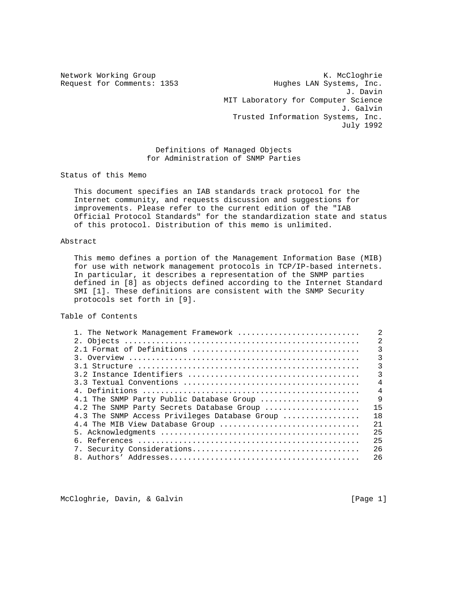Network Working Group Network McCloghrie Request for Comments: 1353 Hughes LAN Systems, Inc. J. Davin MIT Laboratory for Computer Science J. Galvin Trusted Information Systems, Inc. July 1992

> Definitions of Managed Objects for Administration of SNMP Parties

Status of this Memo

 This document specifies an IAB standards track protocol for the Internet community, and requests discussion and suggestions for improvements. Please refer to the current edition of the "IAB Official Protocol Standards" for the standardization state and status of this protocol. Distribution of this memo is unlimited.

## Abstract

 This memo defines a portion of the Management Information Base (MIB) for use with network management protocols in TCP/IP-based internets. In particular, it describes a representation of the SNMP parties defined in [8] as objects defined according to the Internet Standard SMI [1]. These definitions are consistent with the SNMP Security protocols set forth in [9].

Table of Contents

| 1. The Network Management Framework           |                |
|-----------------------------------------------|----------------|
|                                               | $\mathfrak{D}$ |
|                                               | ζ              |
|                                               | 3              |
|                                               | 3              |
|                                               | 3              |
|                                               | $\overline{4}$ |
|                                               | $\overline{4}$ |
| 4.1 The SNMP Party Public Database Group      | 9              |
| 4.2 The SNMP Party Secrets Database Group     | 15             |
| 4.3 The SNMP Access Privileges Database Group | 18             |
| 4.4 The MIB View Database Group               | 2.1            |
|                                               | 25             |
|                                               | 25             |
|                                               | 26             |
|                                               | 26             |
|                                               |                |

McCloghrie, Davin, & Galvin (Page 1)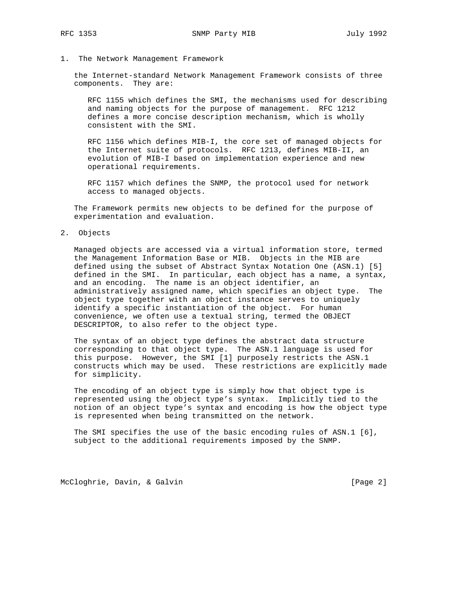## 1. The Network Management Framework

 the Internet-standard Network Management Framework consists of three components. They are:

 RFC 1155 which defines the SMI, the mechanisms used for describing and naming objects for the purpose of management. RFC 1212 defines a more concise description mechanism, which is wholly consistent with the SMI.

 RFC 1156 which defines MIB-I, the core set of managed objects for the Internet suite of protocols. RFC 1213, defines MIB-II, an evolution of MIB-I based on implementation experience and new operational requirements.

 RFC 1157 which defines the SNMP, the protocol used for network access to managed objects.

 The Framework permits new objects to be defined for the purpose of experimentation and evaluation.

## 2. Objects

 Managed objects are accessed via a virtual information store, termed the Management Information Base or MIB. Objects in the MIB are defined using the subset of Abstract Syntax Notation One (ASN.1) [5] defined in the SMI. In particular, each object has a name, a syntax, and an encoding. The name is an object identifier, an administratively assigned name, which specifies an object type. The object type together with an object instance serves to uniquely identify a specific instantiation of the object. For human convenience, we often use a textual string, termed the OBJECT DESCRIPTOR, to also refer to the object type.

 The syntax of an object type defines the abstract data structure corresponding to that object type. The ASN.1 language is used for this purpose. However, the SMI [1] purposely restricts the ASN.1 constructs which may be used. These restrictions are explicitly made for simplicity.

 The encoding of an object type is simply how that object type is represented using the object type's syntax. Implicitly tied to the notion of an object type's syntax and encoding is how the object type is represented when being transmitted on the network.

 The SMI specifies the use of the basic encoding rules of ASN.1 [6], subject to the additional requirements imposed by the SNMP.

McCloghrie, Davin, & Galvin (Page 2)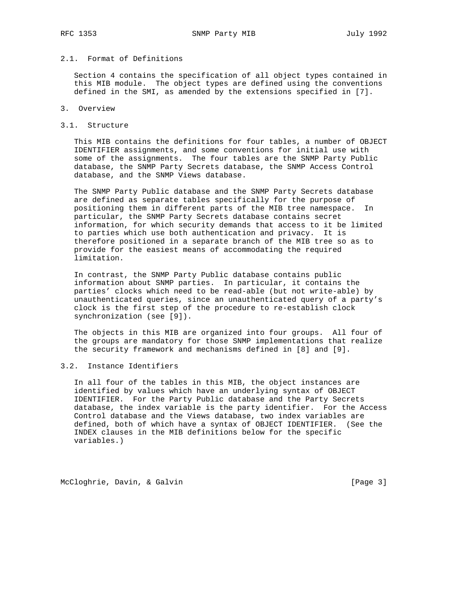# 2.1. Format of Definitions

 Section 4 contains the specification of all object types contained in this MIB module. The object types are defined using the conventions defined in the SMI, as amended by the extensions specified in [7].

#### 3. Overview

#### 3.1. Structure

 This MIB contains the definitions for four tables, a number of OBJECT IDENTIFIER assignments, and some conventions for initial use with some of the assignments. The four tables are the SNMP Party Public database, the SNMP Party Secrets database, the SNMP Access Control database, and the SNMP Views database.

 The SNMP Party Public database and the SNMP Party Secrets database are defined as separate tables specifically for the purpose of positioning them in different parts of the MIB tree namespace. In particular, the SNMP Party Secrets database contains secret information, for which security demands that access to it be limited to parties which use both authentication and privacy. It is therefore positioned in a separate branch of the MIB tree so as to provide for the easiest means of accommodating the required limitation.

 In contrast, the SNMP Party Public database contains public information about SNMP parties. In particular, it contains the parties' clocks which need to be read-able (but not write-able) by unauthenticated queries, since an unauthenticated query of a party's clock is the first step of the procedure to re-establish clock synchronization (see [9]).

 The objects in this MIB are organized into four groups. All four of the groups are mandatory for those SNMP implementations that realize the security framework and mechanisms defined in [8] and [9].

## 3.2. Instance Identifiers

 In all four of the tables in this MIB, the object instances are identified by values which have an underlying syntax of OBJECT IDENTIFIER. For the Party Public database and the Party Secrets database, the index variable is the party identifier. For the Access Control database and the Views database, two index variables are defined, both of which have a syntax of OBJECT IDENTIFIER. (See the INDEX clauses in the MIB definitions below for the specific variables.)

McCloghrie, Davin, & Galvin (Page 3)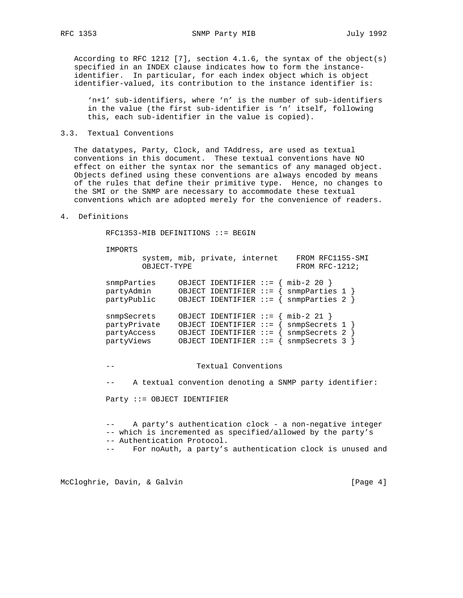According to RFC 1212 [7], section 4.1.6, the syntax of the object(s) specified in an INDEX clause indicates how to form the instance identifier. In particular, for each index object which is object identifier-valued, its contribution to the instance identifier is:

 'n+1' sub-identifiers, where 'n' is the number of sub-identifiers in the value (the first sub-identifier is 'n' itself, following this, each sub-identifier in the value is copied).

## 3.3. Textual Conventions

 The datatypes, Party, Clock, and TAddress, are used as textual conventions in this document. These textual conventions have NO effect on either the syntax nor the semantics of any managed object. Objects defined using these conventions are always encoded by means of the rules that define their primitive type. Hence, no changes to the SMI or the SNMP are necessary to accommodate these textual conventions which are adopted merely for the convenience of readers.

## 4. Definitions

RFC1353-MIB DEFINITIONS ::= BEGIN

#### IMPORTS

|                                                          | system, mib, private, internet<br>OBJECT-TYPE |                                                                                                          | FROM RFC1155-SMI<br>FROM RFC-1212;                              |  |
|----------------------------------------------------------|-----------------------------------------------|----------------------------------------------------------------------------------------------------------|-----------------------------------------------------------------|--|
| snmpParties<br>partyAdmin<br>partyPublic                 |                                               | OBJECT IDENTIFIER $::=$<br>OBJECT IDENTIFIER $:=-$<br>OBJECT IDENTIFIER ::= {                            | $min-2 20$ }<br>$s$ nmpParties 1 }<br>snmpParties 2             |  |
| snmpSecrets<br>partyPrivate<br>partyAccess<br>partyViews |                                               | OBJECT IDENTIFIER $:=-$<br>OBJECT IDENTIFIER $:=-$<br>OBJECT IDENTIFIER $::=$<br>OBJECT IDENTIFIER $::=$ | $min-2 21$ }<br>snmpSecrets 1<br>snmpSecrets 2<br>snmpSecrets 3 |  |
|                                                          |                                               | Textual Conventions                                                                                      |                                                                 |  |

-- A textual convention denoting a SNMP party identifier:

Party ::= OBJECT IDENTIFIER

 -- A party's authentication clock - a non-negative integer -- which is incremented as specified/allowed by the party's -- Authentication Protocol. -- For noAuth, a party's authentication clock is unused and

McCloghrie, Davin, & Galvin (Page 4)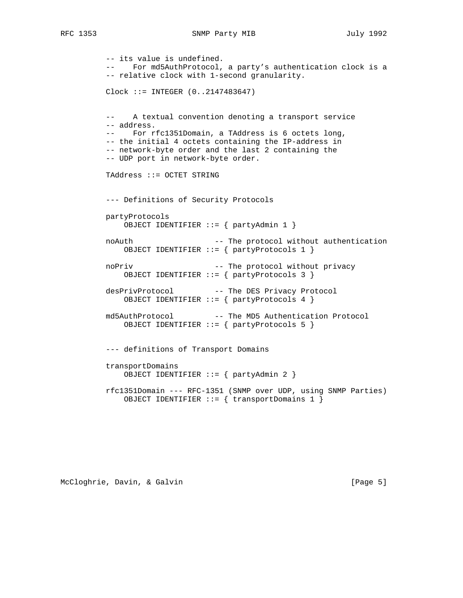```
 -- its value is undefined.
 -- For md5AuthProtocol, a party's authentication clock is a
 -- relative clock with 1-second granularity.
 Clock ::= INTEGER (0..2147483647)
 -- A textual convention denoting a transport service
 -- address.
 -- For rfc1351Domain, a TAddress is 6 octets long,
 -- the initial 4 octets containing the IP-address in
 -- network-byte order and the last 2 containing the
 -- UDP port in network-byte order.
 TAddress ::= OCTET STRING
 --- Definitions of Security Protocols
 partyProtocols
    OBJECT IDENTIFIER ::= { partyAdmin 1 }
noAuth -- The protocol without authentication
    OBJECT IDENTIFIER ::= { partyProtocols 1 }
noPriv -- The protocol without privacy
    OBJECT IDENTIFIER ::= { partyProtocols 3 }
desPrivProtocol -- The DES Privacy Protocol
    OBJECT IDENTIFIER ::= { partyProtocols 4 }
md5AuthProtocol -- The MD5 Authentication Protocol
    OBJECT IDENTIFIER ::= { partyProtocols 5 }
 --- definitions of Transport Domains
 transportDomains
    OBJECT IDENTIFIER ::= { partyAdmin 2 }
 rfc1351Domain --- RFC-1351 (SNMP over UDP, using SNMP Parties)
    OBJECT IDENTIFIER ::= { transportDomains 1 }
```
McCloghrie, Davin, & Galvin (Page 5)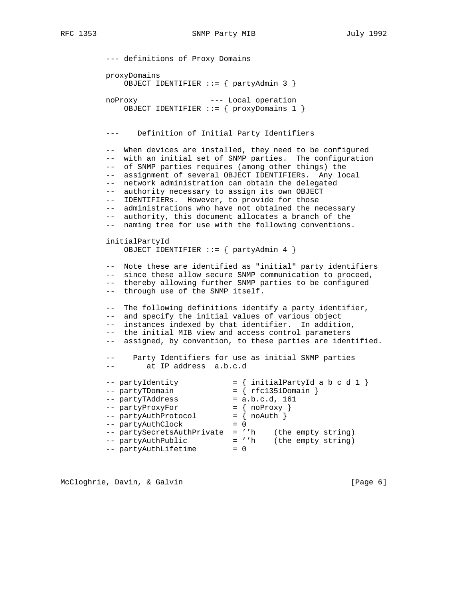```
 --- definitions of Proxy Domains
         proxyDomains
             OBJECT IDENTIFIER ::= { partyAdmin 3 }
         noProxy --- Local operation
             OBJECT IDENTIFIER ::= { proxyDomains 1 }
          --- Definition of Initial Party Identifiers
         -- When devices are installed, they need to be configured
          -- with an initial set of SNMP parties. The configuration
          -- of SNMP parties requires (among other things) the
         -- assignment of several OBJECT IDENTIFIERs. Any local
         -- network administration can obtain the delegated
         -- authority necessary to assign its own OBJECT
         -- IDENTIFIERs. However, to provide for those
         -- administrations who have not obtained the necessary
         -- authority, this document allocates a branch of the
         -- naming tree for use with the following conventions.
         initialPartyId
             OBJECT IDENTIFIER ::= { partyAdmin 4 }
          -- Note these are identified as "initial" party identifiers
         -- since these allow secure SNMP communication to proceed,
          -- thereby allowing further SNMP parties to be configured
          -- through use of the SNMP itself.
         -- The following definitions identify a party identifier,
         -- and specify the initial values of various object
         -- instances indexed by that identifier. In addition,
          -- the initial MIB view and access control parameters
         -- assigned, by convention, to these parties are identified.
         -- Party Identifiers for use as initial SNMP parties
          -- at IP address a.b.c.d
--- partyIdentity = { initialPartyId a b c d 1 }-- partyTDomain = { rfc1351Domain }
-- partyTAddress = a.b.c.d, 161
-- partyProxyFor - = { noProxy }
-- partyAuthProtocol = \{ noAuth \}-- partyAuthClock = 0
 -- partySecretsAuthPrivate = ''h (the empty string)
 -- partyAuthPublic = ''h (the empty string)
-- partyAuthLifetime = 0
```
McCloghrie, Davin, & Galvin (Page 6)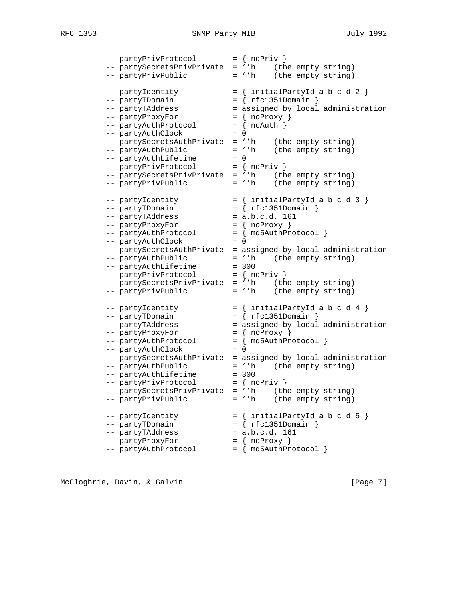| -- partyPrivProtocol = { noPriv } |                                                               |
|-----------------------------------|---------------------------------------------------------------|
|                                   | -- partySecretsPrivPrivate = ''h (the empty string)           |
| -- partyPrivPublic                | = ''h (the empty string)                                      |
| -- partyIdentity                  | $= \{$ initialPartyId a b c d 2 $\}$                          |
| -- partyTDomain                   | $= \{ rfc1351Domain \}$                                       |
|                                   |                                                               |
| -- partyProxyFor                  | $=$ { noProxy }                                               |
| -- partyAuthProtocol              | $= \{ no \text{Auth } \}$                                     |
| -- partyAuthClock                 | $= 0$                                                         |
|                                   | -- partySecretsAuthPrivate = ''h (the empty string)           |
| -- partyAuthPublic                | = ''h (the empty string)                                      |
| -- partyAuthLifetime              | $= 0$                                                         |
| -- partyPrivProtocol = { noPriv } |                                                               |
|                                   | -- partySecretsPrivPrivate = ''h (the empty string)           |
| -- partyPrivPublic                | = ''h (the empty string)                                      |
| -- partyIdentity                  | $= \{$ initialPartyId a b c d 3 $\}$                          |
| -- partyTDomain                   | $=$ { $rfc1351$ Domain }                                      |
| -- partyTAddress                  | $= a.b.c.d, 161$                                              |
| -- partyProxyFor                  | $= \{ noProxy \}$                                             |
| -- partyAuthProtocol              | $= \{ mdsAuthProtocol \}$                                     |
| -- partyAuthClock                 | $= 0$                                                         |
|                                   | -- partySecretsAuthPrivate = assigned by local administration |
| -- partyAuthPublic                | = ''h (the empty string)                                      |
| -- partyAuthLifetime              | $= 300$                                                       |
| -- partyPrivProtocol = { noPriv } |                                                               |
|                                   | -- partySecretsPrivPrivate = ''h (the empty string)           |
| -- partyPrivPublic                | $= 'h$ (the empty string)                                     |
| -- partyIdentity                  | $= \{$ initialPartyId a b c d 4 $\}$                          |
| -- partyTDomain                   | $= \{ rfc1351Domain \}$                                       |
| -- partyTAddress                  | = assigned by local administration                            |
| -- partyProxyFor                  | $=$ { noProxy }                                               |
| -- partyAuthProtocol              | $=$ { $md5AuthProtocol$ }                                     |
| -- partyAuthClock                 | $= 0$                                                         |
|                                   | -- partySecretsAuthPrivate = assigned by local administration |
| -- partyAuthPublic                | = ''h (the empty string)                                      |
| -- partyAuthLifetime              | $= 300$                                                       |
| -- partyPrivProtocol              | $= \{ noPriv \}$                                              |
| -- partySecretsPrivPrivate        | (the empty string)<br>$=$ ''h                                 |
| -- partyPrivPublic                | (the empty string)<br>$=$ ''h                                 |
| -- partyIdentity                  | $= \{$ initialPartyId a b c d 5 $\}$                          |
| -- partyTDomain                   | $= \{ rfc1351Domain \}$                                       |
| -- partyTAddress                  | $= a.b.c.d, 161$                                              |
| -- partyProxyFor                  | $= \{ noProxy \}$                                             |
| -- partyAuthProtocol              | $=$ { md5AuthProtocol }                                       |
|                                   |                                                               |

McCloghrie, Davin, & Galvin (Page 7)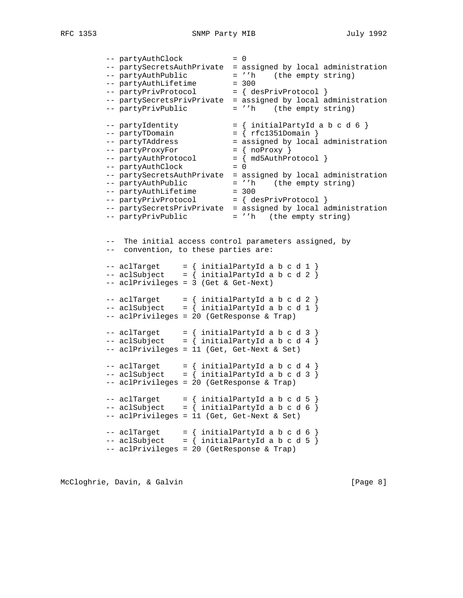-- partyAuthClock = 0 -- partySecretsAuthPrivate = assigned by local administration -- partyAuthPublic = ''h (the empty string) -- partyAuthLifetime = 300 -- partyAuthLifetime = 300<br>-- partyPrivProtocol = { desPrivProtocol } -- partySecretsPrivPrivate = assigned by local administration -- partyPrivPublic  $-$  = ''h (the empty string)  $--$  partyIdentity  $= {$  initialPartyId a b c d 6  $}$ -- partyTDomain  $= {$  rfc1351Domain } -- partyTAddress  $-$  assigned by local administration -- partyProxyFor  $= \{ noProxy \}$  -- partyAuthProtocol = { md5AuthProtocol } -- partyAuthClock = 0 -- partySecretsAuthPrivate = assigned by local administration -- partyAuthPublic = ''h (the empty string) -- partyAuthLifetime = 300 -- partyPrivProtocol  $= \{$  desPrivProtocol } -- partySecretsPrivPrivate = assigned by local administration -- partyPrivPublic  $= 'h$  (the empty string) -- The initial access control parameters assigned, by -- convention, to these parties are:  $--$  aclTarget  $=$  { initialPartyId a b c d 1 }  $--$  aclSubject  $=$  { initialPartyId a b c d 2 } -- aclPrivileges = 3 (Get & Get-Next)  $--$  aclTarget  $=$  { initialPartyId a b c d 2 } -- aclSubject  $=$  { initialPartyId a b c d 1 } -- aclPrivileges = 20 (GetResponse & Trap) -- aclTarget  $=$   $\{$  initialPartyId a b c d 3  $\}$  $--$  aclSubject  $=$  { initialPartyId a b c d 4 } -- aclPrivileges = 11 (Get, Get-Next & Set)  $--$  aclTarget  $\qquad \qquad =\ \{ \ \ \text{initialPartyId} \ \ a \ \ b \ \ c \ \ d \ \ 4 \ \}$  $--$  aclSubject  $=$  { initialPartyId a b c d 3 } -- aclPrivileges = 20 (GetResponse & Trap)  $--$  aclTarget  $=$  { initialPartyId a b c d 5 } -- aclSubject  $=$  { initialPartyId a b c d 6 } -- aclPrivileges = 11 (Get, Get-Next & Set) -- aclTarget  $=$   $\{$  initialPartyId a b c d 6  $\}$ -- aclSubject  $=$  { initialPartyId a b c d 5 } -- aclPrivileges = 20 (GetResponse & Trap)

McCloghrie, Davin, & Galvin (Page 8)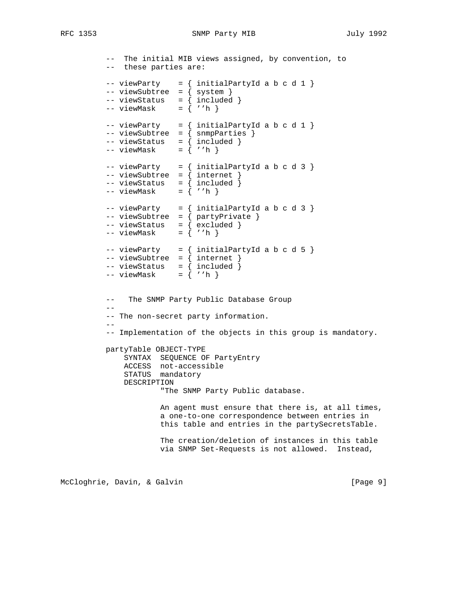RFC 1353 SNMP Party MIB July 1992

 -- The initial MIB views assigned, by convention, to -- these parties are: -- viewParty = { initialPartyId a b c d 1 } -- viewSubtree = { system } -- viewStatus = { included }  $--$  viewMask = { ''h }  $--$  viewParty = { initialPartyId a b c d 1 } -- viewSubtree = { snmpParties } -- viewStatus = { included } -- viewMask = { ''h } -- viewParty = { initialPartyId a b c d 3 } -- viewSubtree = { internet } -- viewStatus = { included } -- viewMask = { ''h }  $--$  viewParty = { initialPartyId a b c d 3 } -- viewSubtree = { partyPrivate }  $--$  viewStatus = { excluded }  $--$  viewMask = { ''h }  $--$  viewParty = { initialPartyId a b c d 5 }  $--$  viewSubtree = { internet } -- viewStatus = { included } -- viewMask = { ''h } -- The SNMP Party Public Database Group -- -- The non-secret party information. -- -- Implementation of the objects in this group is mandatory. partyTable OBJECT-TYPE SYNTAX SEQUENCE OF PartyEntry ACCESS not-accessible STATUS mandatory DESCRIPTION "The SNMP Party Public database. An agent must ensure that there is, at all times, a one-to-one correspondence between entries in this table and entries in the partySecretsTable. The creation/deletion of instances in this table via SNMP Set-Requests is not allowed. Instead,

McCloghrie, Davin, & Galvin (Page 9)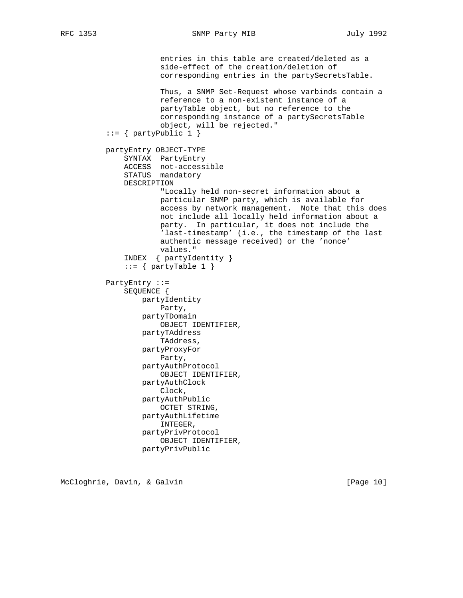entries in this table are created/deleted as a side-effect of the creation/deletion of corresponding entries in the partySecretsTable. Thus, a SNMP Set-Request whose varbinds contain a reference to a non-existent instance of a partyTable object, but no reference to the corresponding instance of a partySecretsTable object, will be rejected."  $::= {$  partyPublic 1  $}$  partyEntry OBJECT-TYPE SYNTAX PartyEntry ACCESS not-accessible STATUS mandatory DESCRIPTION "Locally held non-secret information about a particular SNMP party, which is available for access by network management. Note that this does not include all locally held information about a party. In particular, it does not include the 'last-timestamp' (i.e., the timestamp of the last authentic message received) or the 'nonce' values." INDEX { partyIdentity } ::=  $\{$  partyTable 1  $\}$  PartyEntry ::= SEQUENCE { partyIdentity Party, partyTDomain OBJECT IDENTIFIER, partyTAddress TAddress, partyProxyFor Party, partyAuthProtocol OBJECT IDENTIFIER, partyAuthClock Clock, partyAuthPublic OCTET STRING, partyAuthLifetime INTEGER, partyPrivProtocol OBJECT IDENTIFIER, partyPrivPublic

McCloghrie, Davin, & Galvin (Page 10)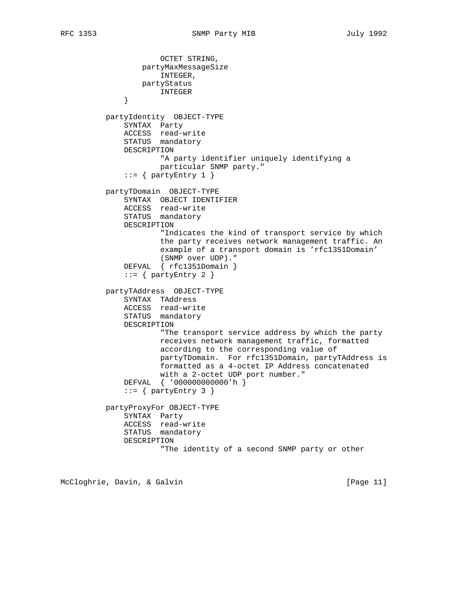OCTET STRING, partyMaxMessageSize INTEGER, partyStatus INTEGER } partyIdentity OBJECT-TYPE SYNTAX Party ACCESS read-write STATUS mandatory DESCRIPTION "A party identifier uniquely identifying a particular SNMP party."  $::=$  { partyEntry 1 } partyTDomain OBJECT-TYPE SYNTAX OBJECT IDENTIFIER ACCESS read-write STATUS mandatory DESCRIPTION "Indicates the kind of transport service by which the party receives network management traffic. An example of a transport domain is 'rfc1351Domain' (SNMP over UDP)." DEFVAL { rfc1351Domain } ::=  $\{$  partyEntry 2  $\}$  partyTAddress OBJECT-TYPE SYNTAX TAddress ACCESS read-write STATUS mandatory DESCRIPTION "The transport service address by which the party receives network management traffic, formatted according to the corresponding value of partyTDomain. For rfc1351Domain, partyTAddress is formatted as a 4-octet IP Address concatenated with a 2-octet UDP port number." DEFVAL { '000000000000'h } ::=  $\{$  partyEntry 3  $\}$  partyProxyFor OBJECT-TYPE SYNTAX Party ACCESS read-write STATUS mandatory DESCRIPTION "The identity of a second SNMP party or other

McCloghrie, Davin, & Galvin (Page 11)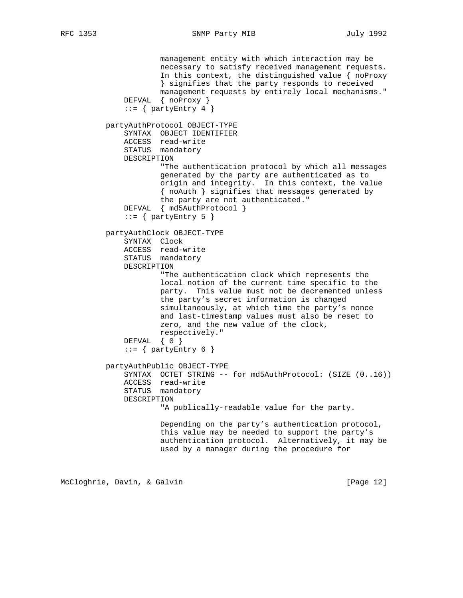management entity with which interaction may be necessary to satisfy received management requests. In this context, the distinguished value { noProxy } signifies that the party responds to received management requests by entirely local mechanisms." DEFVAL { noProxy }  $::=$  { partyEntry 4 } partyAuthProtocol OBJECT-TYPE SYNTAX OBJECT IDENTIFIER ACCESS read-write STATUS mandatory DESCRIPTION "The authentication protocol by which all messages generated by the party are authenticated as to origin and integrity. In this context, the value { noAuth } signifies that messages generated by the party are not authenticated." DEFVAL { md5AuthProtocol } ::=  $\{$  partyEntry 5  $\}$  partyAuthClock OBJECT-TYPE SYNTAX Clock ACCESS read-write STATUS mandatory DESCRIPTION "The authentication clock which represents the local notion of the current time specific to the party. This value must not be decremented unless the party's secret information is changed simultaneously, at which time the party's nonce and last-timestamp values must also be reset to zero, and the new value of the clock, respectively." DEFVAL { 0 } ::=  $\{$  partyEntry 6  $\}$  partyAuthPublic OBJECT-TYPE SYNTAX OCTET STRING -- for md5AuthProtocol: (SIZE (0..16)) ACCESS read-write STATUS mandatory DESCRIPTION "A publically-readable value for the party. Depending on the party's authentication protocol, this value may be needed to support the party's authentication protocol. Alternatively, it may be used by a manager during the procedure for

McCloghrie, Davin, & Galvin (Page 12)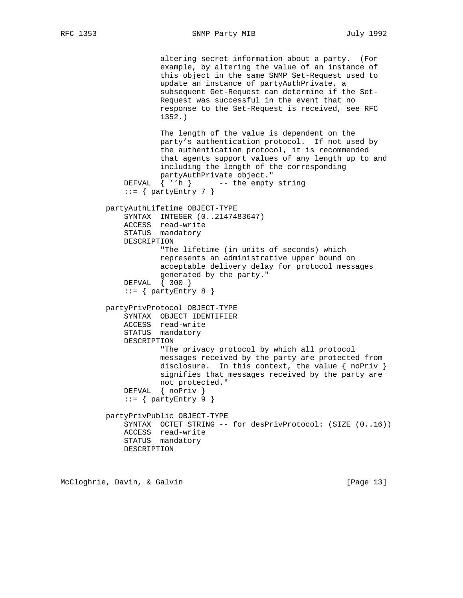altering secret information about a party. (For example, by altering the value of an instance of this object in the same SNMP Set-Request used to update an instance of partyAuthPrivate, a subsequent Get-Request can determine if the Set- Request was successful in the event that no response to the Set-Request is received, see RFC 1352.) The length of the value is dependent on the party's authentication protocol. If not used by the authentication protocol, it is recommended that agents support values of any length up to and including the length of the corresponding partyAuthPrivate object." DEFVAL { ''h } -- the empty string  $::=$  { partyEntry 7 } partyAuthLifetime OBJECT-TYPE SYNTAX INTEGER (0..2147483647) ACCESS read-write STATUS mandatory DESCRIPTION "The lifetime (in units of seconds) which represents an administrative upper bound on acceptable delivery delay for protocol messages generated by the party." DEFVAL { 300 } ::=  $\{$  partyEntry 8  $\}$  partyPrivProtocol OBJECT-TYPE SYNTAX OBJECT IDENTIFIER ACCESS read-write STATUS mandatory DESCRIPTION "The privacy protocol by which all protocol messages received by the party are protected from disclosure. In this context, the value { noPriv } signifies that messages received by the party are not protected." DEFVAL { noPriv }  $::=$  { partyEntry 9 } partyPrivPublic OBJECT-TYPE SYNTAX OCTET STRING -- for desPrivProtocol: (SIZE (0..16)) ACCESS read-write STATUS mandatory DESCRIPTION

McCloghrie, Davin, & Galvin (Page 13)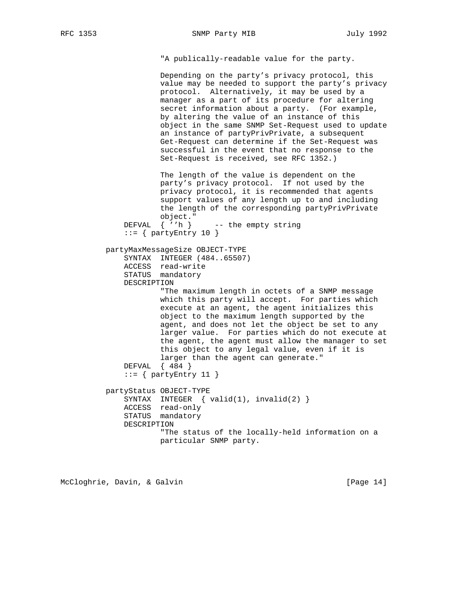RFC 1353 SNMP Party MIB July 1992

"A publically-readable value for the party.

 Depending on the party's privacy protocol, this value may be needed to support the party's privacy protocol. Alternatively, it may be used by a manager as a part of its procedure for altering secret information about a party. (For example, by altering the value of an instance of this object in the same SNMP Set-Request used to update an instance of partyPrivPrivate, a subsequent Get-Request can determine if the Set-Request was successful in the event that no response to the Set-Request is received, see RFC 1352.)

 The length of the value is dependent on the party's privacy protocol. If not used by the privacy protocol, it is recommended that agents support values of any length up to and including the length of the corresponding partyPrivPrivate object." DEFVAL  $\{ 'h \}$  -- the empty string  $::=$  { partyEntry 10 } partyMaxMessageSize OBJECT-TYPE SYNTAX INTEGER (484..65507) ACCESS read-write STATUS mandatory DESCRIPTION "The maximum length in octets of a SNMP message which this party will accept. For parties which execute at an agent, the agent initializes this object to the maximum length supported by the agent, and does not let the object be set to any larger value. For parties which do not execute at the agent, the agent must allow the manager to set this object to any legal value, even if it is larger than the agent can generate." DEFVAL { 484 }  $::=$  { partyEntry 11 } partyStatus OBJECT-TYPE SYNTAX INTEGER  $\{ valid(1), invalid(2)\}$  ACCESS read-only STATUS mandatory DESCRIPTION "The status of the locally-held information on a particular SNMP party.

McCloghrie, Davin, & Galvin (Page 14)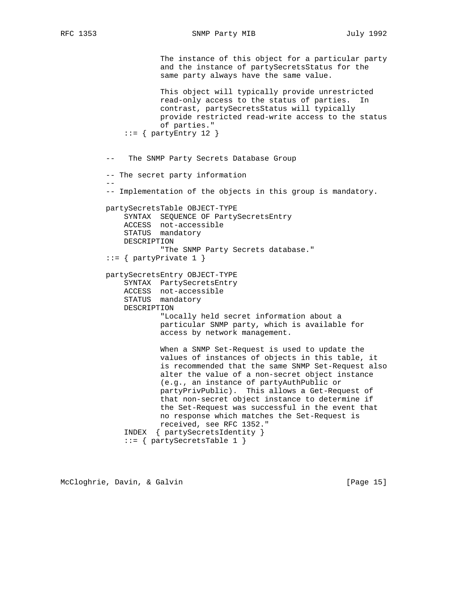--

RFC 1353 SNMP Party MIB July 1992

 The instance of this object for a particular party and the instance of partySecretsStatus for the same party always have the same value. This object will typically provide unrestricted read-only access to the status of parties. In contrast, partySecretsStatus will typically provide restricted read-write access to the status of parties."  $::=$  { partyEntry 12 }

-- The SNMP Party Secrets Database Group

-- The secret party information

-- Implementation of the objects in this group is mandatory.

 partySecretsTable OBJECT-TYPE SYNTAX SEQUENCE OF PartySecretsEntry ACCESS not-accessible STATUS mandatory DESCRIPTION "The SNMP Party Secrets database." ::= { partyPrivate 1 }

 partySecretsEntry OBJECT-TYPE SYNTAX PartySecretsEntry ACCESS not-accessible STATUS mandatory DESCRIPTION "Locally held secret information about a particular SNMP party, which is available for

access by network management.

 When a SNMP Set-Request is used to update the values of instances of objects in this table, it is recommended that the same SNMP Set-Request also alter the value of a non-secret object instance (e.g., an instance of partyAuthPublic or partyPrivPublic). This allows a Get-Request of that non-secret object instance to determine if the Set-Request was successful in the event that no response which matches the Set-Request is received, see RFC 1352." INDEX { partySecretsIdentity } ::= { partySecretsTable 1 }

McCloghrie, Davin, & Galvin [Page 15]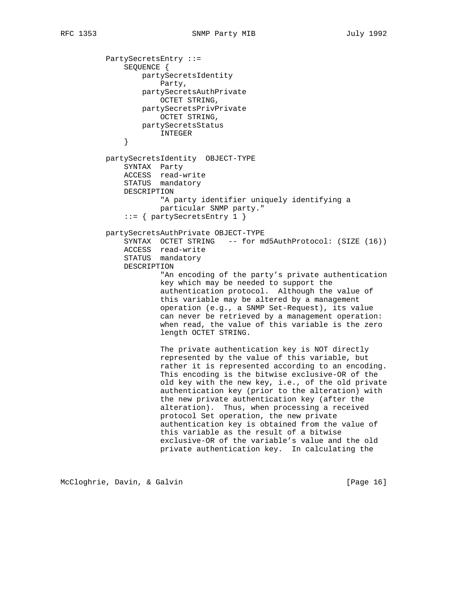```
 PartySecretsEntry ::=
               SEQUENCE {
                   partySecretsIdentity
                      Party,
                   partySecretsAuthPrivate
                      OCTET STRING,
                   partySecretsPrivPrivate
                      OCTET STRING,
                  partySecretsStatus
              \begin{tabular}{c} \bf{INTEGR} \\ \end{tabular} }
          partySecretsIdentity OBJECT-TYPE
               SYNTAX Party
 ACCESS read-write
STATUS mandatory
               DESCRIPTION
                       "A party identifier uniquely identifying a
                       particular SNMP party."
               ::= { partySecretsEntry 1 }
          partySecretsAuthPrivate OBJECT-TYPE
               SYNTAX OCTET STRING -- for md5AuthProtocol: (SIZE (16))
               ACCESS read-write
               STATUS mandatory
               DESCRIPTION
                       "An encoding of the party's private authentication
                       key which may be needed to support the
                       authentication protocol. Although the value of
                       this variable may be altered by a management
                       operation (e.g., a SNMP Set-Request), its value
                       can never be retrieved by a management operation:
                       when read, the value of this variable is the zero
                       length OCTET STRING.
                       The private authentication key is NOT directly
                       represented by the value of this variable, but
                       rather it is represented according to an encoding.
                       This encoding is the bitwise exclusive-OR of the
                       old key with the new key, i.e., of the old private
                       authentication key (prior to the alteration) with
                       the new private authentication key (after the
                       alteration). Thus, when processing a received
                       protocol Set operation, the new private
                       authentication key is obtained from the value of
                       this variable as the result of a bitwise
                       exclusive-OR of the variable's value and the old
                       private authentication key. In calculating the
```
McCloghrie, Davin, & Galvin (Page 16)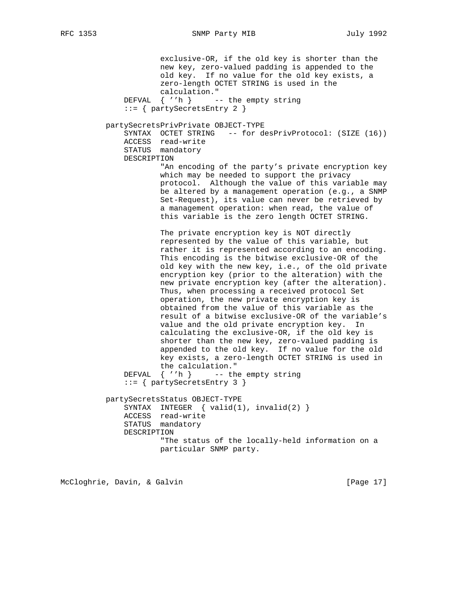exclusive-OR, if the old key is shorter than the new key, zero-valued padding is appended to the old key. If no value for the old key exists, a zero-length OCTET STRING is used in the calculation." DEFVAL  $\{ 'h \}$  -- the empty string ::= { partySecretsEntry 2 } partySecretsPrivPrivate OBJECT-TYPE SYNTAX OCTET STRING -- for desPrivProtocol: (SIZE (16)) ACCESS read-write STATUS mandatory DESCRIPTION "An encoding of the party's private encryption key which may be needed to support the privacy protocol. Although the value of this variable may be altered by a management operation (e.g., a SNMP Set-Request), its value can never be retrieved by a management operation: when read, the value of this variable is the zero length OCTET STRING. The private encryption key is NOT directly represented by the value of this variable, but rather it is represented according to an encoding. This encoding is the bitwise exclusive-OR of the old key with the new key, i.e., of the old private encryption key (prior to the alteration) with the new private encryption key (after the alteration). Thus, when processing a received protocol Set operation, the new private encryption key is obtained from the value of this variable as the result of a bitwise exclusive-OR of the variable's value and the old private encryption key. In calculating the exclusive-OR, if the old key is shorter than the new key, zero-valued padding is appended to the old key. If no value for the old key exists, a zero-length OCTET STRING is used in the calculation." DEFVAL { ''h } -- the empty string ::= { partySecretsEntry 3 } partySecretsStatus OBJECT-TYPE SYNTAX INTEGER { valid(1), invalid(2) } ACCESS read-write STATUS mandatory DESCRIPTION "The status of the locally-held information on a particular SNMP party.

McCloghrie, Davin, & Galvin (Page 17)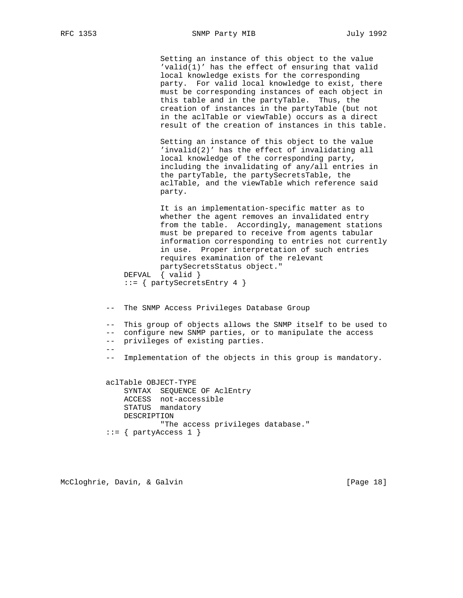Setting an instance of this object to the value 'valid(1)' has the effect of ensuring that valid local knowledge exists for the corresponding party. For valid local knowledge to exist, there must be corresponding instances of each object in this table and in the partyTable. Thus, the creation of instances in the partyTable (but not in the aclTable or viewTable) occurs as a direct result of the creation of instances in this table.

 Setting an instance of this object to the value 'invalid(2)' has the effect of invalidating all local knowledge of the corresponding party, including the invalidating of any/all entries in the partyTable, the partySecretsTable, the aclTable, and the viewTable which reference said party.

 It is an implementation-specific matter as to whether the agent removes an invalidated entry from the table. Accordingly, management stations must be prepared to receive from agents tabular information corresponding to entries not currently in use. Proper interpretation of such entries requires examination of the relevant partySecretsStatus object." DEFVAL { valid }

::= { partySecretsEntry 4 }

-- The SNMP Access Privileges Database Group

 -- This group of objects allows the SNMP itself to be used to -- configure new SNMP parties, or to manipulate the access -- privileges of existing parties. --

-- Implementation of the objects in this group is mandatory.

 aclTable OBJECT-TYPE SYNTAX SEQUENCE OF AclEntry ACCESS not-accessible STATUS mandatory DESCRIPTION "The access privileges database."  $::=$  { partyAccess 1 }

McCloghrie, Davin, & Galvin (Page 18)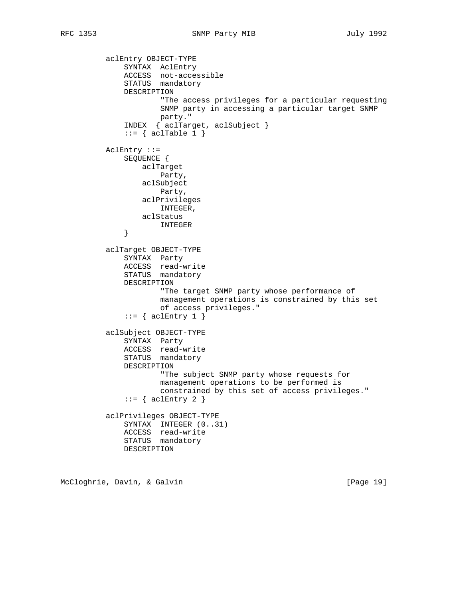```
 aclEntry OBJECT-TYPE
 SYNTAX AclEntry
 ACCESS not-accessible
STATUS mandatory
              DESCRIPTION
                      "The access privileges for a particular requesting
                     SNMP party in accessing a particular target SNMP
                     party."
              INDEX { aclTarget, aclSubject }
             ::= \{ \text{aclrable 1 } \} AclEntry ::=
              SEQUENCE {
                 aclTarget
                     Party,
                 aclSubject
                     Party,
                 aclPrivileges
                     INTEGER,
                 aclStatus
              INTEGER
 }
          aclTarget OBJECT-TYPE
              SYNTAX Party
 ACCESS read-write
STATUS mandatory
              DESCRIPTION
                      "The target SNMP party whose performance of
                     management operations is constrained by this set
                      of access privileges."
             ::= \{ \text{aclEntry 1 } \} aclSubject OBJECT-TYPE
              SYNTAX Party
              ACCESS read-write
              STATUS mandatory
              DESCRIPTION
                      "The subject SNMP party whose requests for
                     management operations to be performed is
                      constrained by this set of access privileges."
             ::= { aclEntry 2 }
          aclPrivileges OBJECT-TYPE
              SYNTAX INTEGER (0..31)
              ACCESS read-write
              STATUS mandatory
              DESCRIPTION
```
McCloghrie, Davin, & Galvin (Page 19)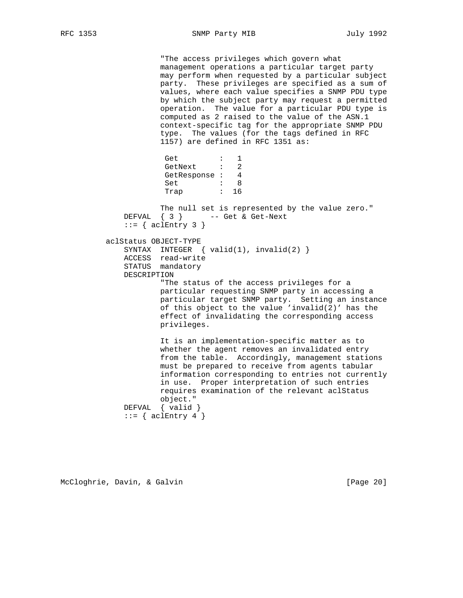"The access privileges which govern what management operations a particular target party may perform when requested by a particular subject party. These privileges are specified as a sum of values, where each value specifies a SNMP PDU type by which the subject party may request a permitted operation. The value for a particular PDU type is computed as 2 raised to the value of the ASN.1 context-specific tag for the appropriate SNMP PDU type. The values (for the tags defined in RFC 1157) are defined in RFC 1351 as: Get : 1 GetNext : 2 GetResponse : 4<br>Set : 8 set : 8 Trap : 16 The null set is represented by the value zero." DEFVAL  $\{ 3 \}$  -- Get & Get-Next  $::=$  { aclEntry 3 } aclStatus OBJECT-TYPE SYNTAX INTEGER { valid(1), invalid(2) } ACCESS read-write STATUS mandatory DESCRIPTION "The status of the access privileges for a particular requesting SNMP party in accessing a particular target SNMP party. Setting an instance of this object to the value 'invalid(2)' has the effect of invalidating the corresponding access privileges. It is an implementation-specific matter as to whether the agent removes an invalidated entry from the table. Accordingly, management stations must be prepared to receive from agents tabular information corresponding to entries not currently in use. Proper interpretation of such entries requires examination of the relevant aclStatus object." DEFVAL { valid }

 $::=$  { aclEntry 4 }

McCloghrie, Davin, & Galvin (Page 20)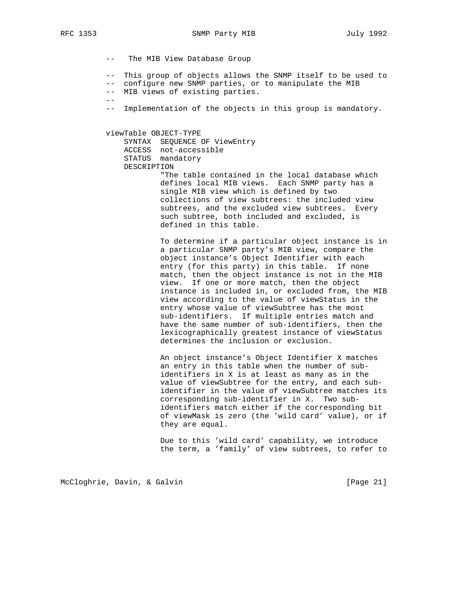--

```
 -- The MIB View Database Group
```
-- This group of objects allows the SNMP itself to be used to

- -- configure new SNMP parties, or to manipulate the MIB
- -- MIB views of existing parties.
- -- Implementation of the objects in this group is mandatory.

#### viewTable OBJECT-TYPE

 SYNTAX SEQUENCE OF ViewEntry ACCESS not-accessible STATUS mandatory DESCRIPTION

 "The table contained in the local database which defines local MIB views. Each SNMP party has a single MIB view which is defined by two collections of view subtrees: the included view subtrees, and the excluded view subtrees. Every such subtree, both included and excluded, is defined in this table.

 To determine if a particular object instance is in a particular SNMP party's MIB view, compare the object instance's Object Identifier with each entry (for this party) in this table. If none match, then the object instance is not in the MIB view. If one or more match, then the object instance is included in, or excluded from, the MIB view according to the value of viewStatus in the entry whose value of viewSubtree has the most sub-identifiers. If multiple entries match and have the same number of sub-identifiers, then the lexicographically greatest instance of viewStatus determines the inclusion or exclusion.

> An object instance's Object Identifier X matches an entry in this table when the number of sub identifiers in X is at least as many as in the value of viewSubtree for the entry, and each sub identifier in the value of viewSubtree matches its corresponding sub-identifier in X. Two sub identifiers match either if the corresponding bit of viewMask is zero (the 'wild card' value), or if they are equal.

> Due to this 'wild card' capability, we introduce the term, a 'family' of view subtrees, to refer to

McCloghrie, Davin, & Galvin (Page 21)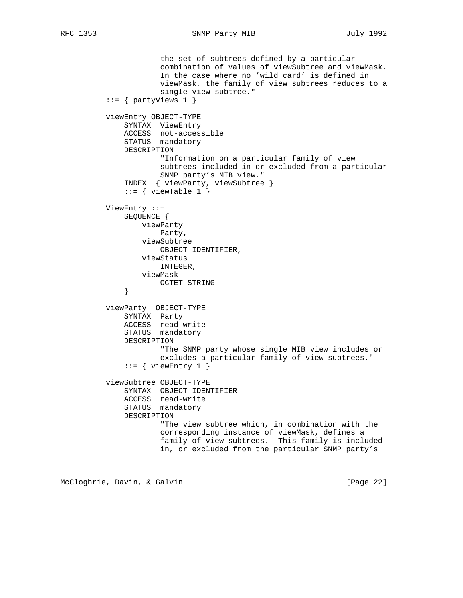```
 the set of subtrees defined by a particular
                       combination of values of viewSubtree and viewMask.
                       In the case where no 'wild card' is defined in
                       viewMask, the family of view subtrees reduces to a
                       single view subtree."
          ::= \{ partyViews 1 \} viewEntry OBJECT-TYPE
               SYNTAX ViewEntry
               ACCESS not-accessible
               STATUS mandatory
              DESCRIPTION
                       "Information on a particular family of view
                       subtrees included in or excluded from a particular
                      SNMP party's MIB view."
               INDEX { viewParty, viewSubtree }
              ::= { viewTable 1 }
          ViewEntry ::=
               SEQUENCE {
                  viewParty
                      Party,
                  viewSubtree
                      OBJECT IDENTIFIER,
                   viewStatus
                       INTEGER,
                  viewMask
              OCTET STRING<br>}
 }
          viewParty OBJECT-TYPE
               SYNTAX Party
               ACCESS read-write
               STATUS mandatory
              DESCRIPTION
                       "The SNMP party whose single MIB view includes or
                       excludes a particular family of view subtrees."
              ::= { viewEntry 1 }
          viewSubtree OBJECT-TYPE
               SYNTAX OBJECT IDENTIFIER
               ACCESS read-write
               STATUS mandatory
               DESCRIPTION
                       "The view subtree which, in combination with the
                       corresponding instance of viewMask, defines a
                       family of view subtrees. This family is included
                       in, or excluded from the particular SNMP party's
```
McCloghrie, Davin, & Galvin (Page 22)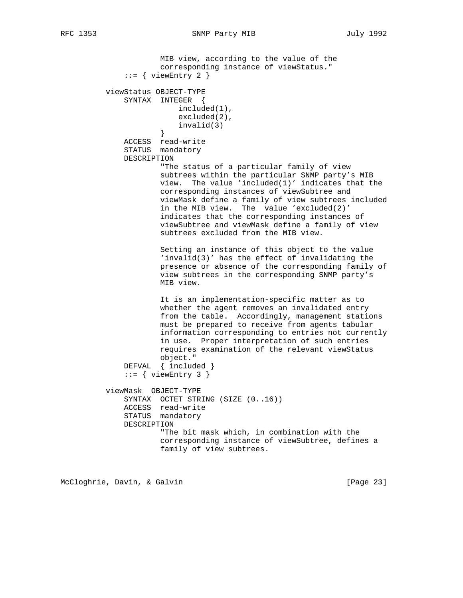```
 MIB view, according to the value of the
                       corresponding instance of viewStatus."
              ::= { viewEntry 2 }
          viewStatus OBJECT-TYPE
              SYNTAX INTEGER {
                          included(1),
                          excluded(2),
                      invalid(3)<br>}
 }
              ACCESS read-write
              STATUS mandatory
              DESCRIPTION
                       "The status of a particular family of view
                       subtrees within the particular SNMP party's MIB
                       view. The value 'included(1)' indicates that the
                       corresponding instances of viewSubtree and
                       viewMask define a family of view subtrees included
                       in the MIB view. The value 'excluded(2)'
                       indicates that the corresponding instances of
                       viewSubtree and viewMask define a family of view
                       subtrees excluded from the MIB view.
                       Setting an instance of this object to the value
                       'invalid(3)' has the effect of invalidating the
                       presence or absence of the corresponding family of
                      view subtrees in the corresponding SNMP party's
                      MIB view.
                       It is an implementation-specific matter as to
                       whether the agent removes an invalidated entry
                       from the table. Accordingly, management stations
                      must be prepared to receive from agents tabular
                       information corresponding to entries not currently
                       in use. Proper interpretation of such entries
                       requires examination of the relevant viewStatus
                      object."
              DEFVAL { included }
             ::= { viewEntry 3 }
          viewMask OBJECT-TYPE
              SYNTAX OCTET STRING (SIZE (0..16))
              ACCESS read-write
              STATUS mandatory
              DESCRIPTION
                       "The bit mask which, in combination with the
                       corresponding instance of viewSubtree, defines a
                      family of view subtrees.
```
McCloghrie, Davin, & Galvin (Page 23)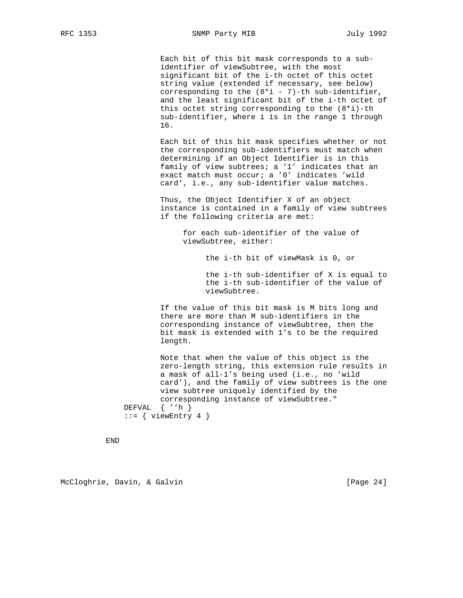Each bit of this bit mask corresponds to a sub identifier of viewSubtree, with the most significant bit of the i-th octet of this octet string value (extended if necessary, see below) corresponding to the  $(8 * i - 7)$ -th sub-identifier, and the least significant bit of the i-th octet of this octet string corresponding to the (8\*i)-th sub-identifier, where i is in the range 1 through 16.

 Each bit of this bit mask specifies whether or not the corresponding sub-identifiers must match when determining if an Object Identifier is in this family of view subtrees; a '1' indicates that an exact match must occur; a '0' indicates 'wild card', i.e., any sub-identifier value matches.

> Thus, the Object Identifier X of an object instance is contained in a family of view subtrees if the following criteria are met:

 for each sub-identifier of the value of viewSubtree, either:

the i-th bit of viewMask is 0, or

 the i-th sub-identifier of X is equal to the i-th sub-identifier of the value of viewSubtree.

 If the value of this bit mask is M bits long and there are more than M sub-identifiers in the corresponding instance of viewSubtree, then the bit mask is extended with 1's to be the required length.

 Note that when the value of this object is the zero-length string, this extension rule results in a mask of all-1's being used (i.e., no 'wild card'), and the family of view subtrees is the one view subtree uniquely identified by the corresponding instance of viewSubtree." DEFVAL { ''h }  $::=$  { viewEntry 4 }

END

McCloghrie, Davin, & Galvin (Page 24)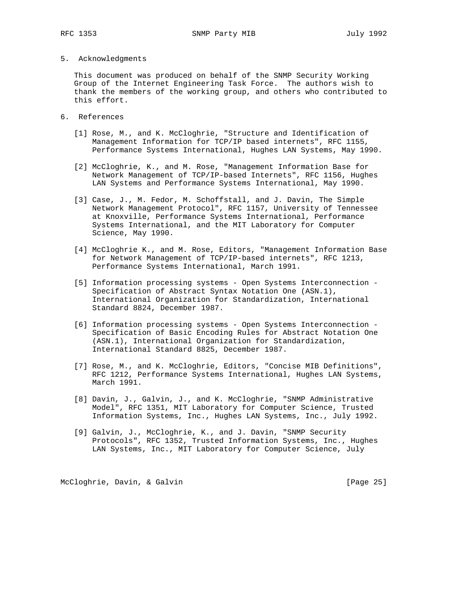## 5. Acknowledgments

 This document was produced on behalf of the SNMP Security Working Group of the Internet Engineering Task Force. The authors wish to thank the members of the working group, and others who contributed to this effort.

- 6. References
	- [1] Rose, M., and K. McCloghrie, "Structure and Identification of Management Information for TCP/IP based internets", RFC 1155, Performance Systems International, Hughes LAN Systems, May 1990.
	- [2] McCloghrie, K., and M. Rose, "Management Information Base for Network Management of TCP/IP-based Internets", RFC 1156, Hughes LAN Systems and Performance Systems International, May 1990.
	- [3] Case, J., M. Fedor, M. Schoffstall, and J. Davin, The Simple Network Management Protocol", RFC 1157, University of Tennessee at Knoxville, Performance Systems International, Performance Systems International, and the MIT Laboratory for Computer Science, May 1990.
	- [4] McCloghrie K., and M. Rose, Editors, "Management Information Base for Network Management of TCP/IP-based internets", RFC 1213, Performance Systems International, March 1991.
	- [5] Information processing systems Open Systems Interconnection Specification of Abstract Syntax Notation One (ASN.1), International Organization for Standardization, International Standard 8824, December 1987.
	- [6] Information processing systems Open Systems Interconnection Specification of Basic Encoding Rules for Abstract Notation One (ASN.1), International Organization for Standardization, International Standard 8825, December 1987.
	- [7] Rose, M., and K. McCloghrie, Editors, "Concise MIB Definitions", RFC 1212, Performance Systems International, Hughes LAN Systems, March 1991.
	- [8] Davin, J., Galvin, J., and K. McCloghrie, "SNMP Administrative Model", RFC 1351, MIT Laboratory for Computer Science, Trusted Information Systems, Inc., Hughes LAN Systems, Inc., July 1992.
	- [9] Galvin, J., McCloghrie, K., and J. Davin, "SNMP Security Protocols", RFC 1352, Trusted Information Systems, Inc., Hughes LAN Systems, Inc., MIT Laboratory for Computer Science, July

McCloghrie, Davin, & Galvin [Page 25]